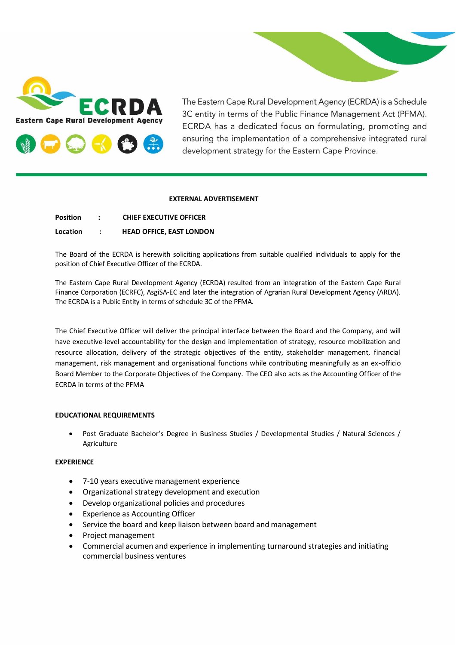

The Eastern Cape Rural Development Agency (ECRDA) is a Schedule 3C entity in terms of the Public Finance Management Act (PFMA). ECRDA has a dedicated focus on formulating, promoting and ensuring the implementation of a comprehensive integrated rural development strategy for the Eastern Cape Province.

#### **EXTERNAL ADVERTISEMENT**

| <b>Position</b> | <b>CHIEF EXECUTIVE OFFICER</b>  |
|-----------------|---------------------------------|
| <b>Location</b> | <b>HEAD OFFICE, EAST LONDON</b> |

The Board of the ECRDA is herewith soliciting applications from suitable qualified individuals to apply for the position of Chief Executive Officer of the ECRDA.

The Eastern Cape Rural Development Agency (ECRDA) resulted from an integration of the Eastern Cape Rural Finance Corporation (ECRFC), AsgiSA-EC and later the integration of Agrarian Rural Development Agency (ARDA). The ECRDA is a Public Entity in terms of schedule 3C of the PFMA.

The Chief Executive Officer will deliver the principal interface between the Board and the Company, and will have executive-level accountability for the design and implementation of strategy, resource mobilization and resource allocation, delivery of the strategic objectives of the entity, stakeholder management, financial management, risk management and organisational functions while contributing meaningfully as an ex-officio Board Member to the Corporate Objectives of the Company. The CEO also acts as the Accounting Officer of the ECRDA in terms of the PFMA

### **EDUCATIONAL REQUIREMENTS**

• Post Graduate Bachelor's Degree in Business Studies / Developmental Studies / Natural Sciences / Agriculture

#### **EXPERIENCE**

- 7-10 years executive management experience
- Organizational strategy development and execution
- Develop organizational policies and procedures
- Experience as Accounting Officer
- Service the board and keep liaison between board and management
- Project management
- Commercial acumen and experience in implementing turnaround strategies and initiating commercial business ventures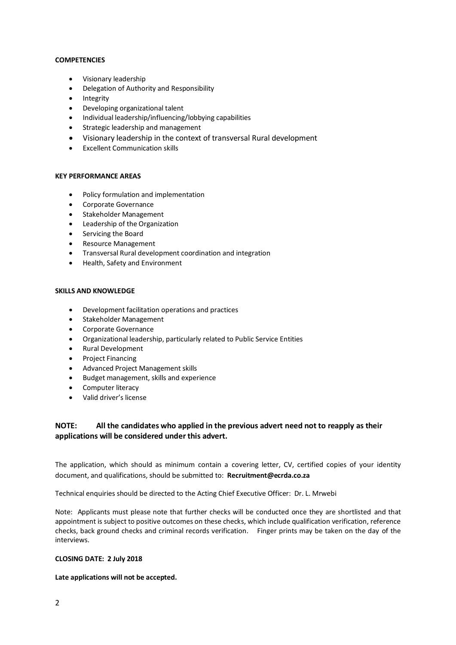#### **COMPETENCIES**

- Visionary leadership
- Delegation of Authority and Responsibility
- Integrity
- Developing organizational talent
- Individual leadership/influencing/lobbying capabilities
- Strategic leadership and management
- Visionary leadership in the context of transversal Rural development
- Excellent Communication skills

### **KEY PERFORMANCE AREAS**

- Policy formulation and implementation
- Corporate Governance
- Stakeholder Management
- Leadership of the Organization
- Servicing the Board
- Resource Management
- Transversal Rural development coordination and integration
- Health, Safety and Environment

## **SKILLS AND KNOWLEDGE**

- Development facilitation operations and practices
- Stakeholder Management
- Corporate Governance
- Organizational leadership, particularly related to Public Service Entities
- Rural Development
- Project Financing
- Advanced Project Management skills
- Budget management, skills and experience
- Computer literacy
- Valid driver's license

# **NOTE: All the candidates who applied in the previous advert need not to reapply as their applications will be considered under this advert.**

The application, which should as minimum contain a covering letter, CV, certified copies of your identity document, and qualifications, should be submitted to: **Recruitment@ecrda.co.za**

Technical enquiries should be directed to the Acting Chief Executive Officer: Dr. L. Mrwebi

Note: Applicants must please note that further checks will be conducted once they are shortlisted and that appointment is subject to positive outcomes on these checks, which include qualification verification, reference checks, back ground checks and criminal records verification. Finger prints may be taken on the day of the interviews.

## **CLOSING DATE: 2 July 2018**

**Late applications will not be accepted.**